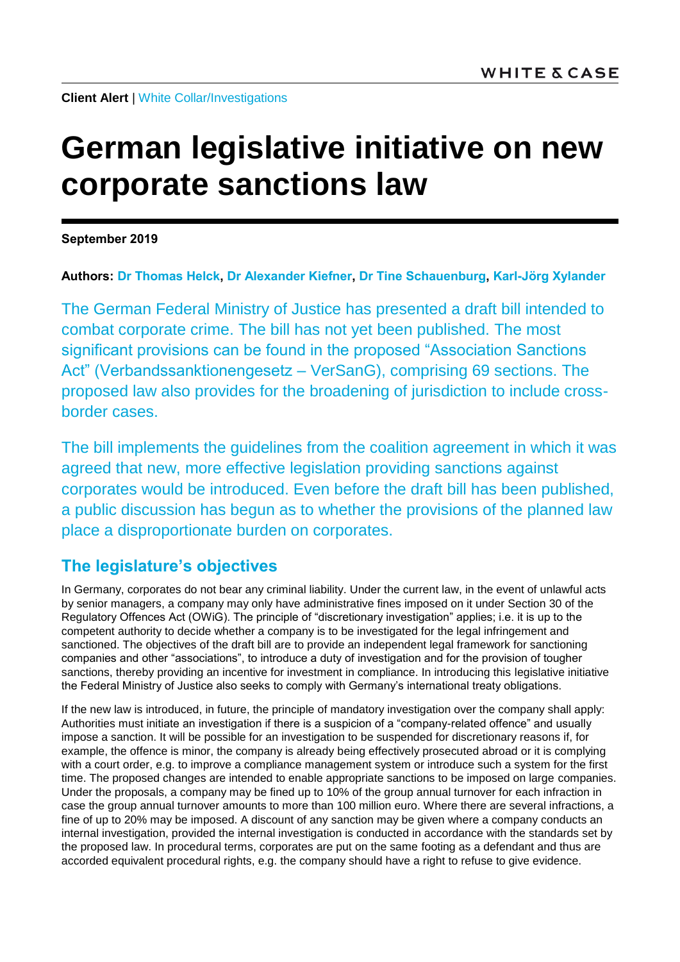**Client Alert** | [White Collar/Investigations](https://www.whitecase.com/law/practices/white-collar-investigations)

# **German legislative initiative on new corporate sanctions law**

**September 2019**

**Authors: [Dr Thomas Helck,](https://www.whitecase.com/people/dr-thomas-helck) [Dr Alexander Kiefner,](https://www.whitecase.com/people/alexander-kiefner) [Dr Tine Schauenburg,](https://www.whitecase.com/people/tine-schauenburg) [Karl-Jörg Xylander](https://www.whitecase.com/people/karl-jorg-xylander)**

The German Federal Ministry of Justice has presented a draft bill intended to combat corporate crime. The bill has not yet been published. The most significant provisions can be found in the proposed "Association Sanctions Act" (Verbandssanktionengesetz – VerSanG), comprising 69 sections. The proposed law also provides for the broadening of jurisdiction to include crossborder cases.

The bill implements the guidelines from the coalition agreement in which it was agreed that new, more effective legislation providing sanctions against corporates would be introduced. Even before the draft bill has been published, a public discussion has begun as to whether the provisions of the planned law place a disproportionate burden on corporates.

# **The legislature's objectives**

In Germany, corporates do not bear any criminal liability. Under the current law, in the event of unlawful acts by senior managers, a company may only have administrative fines imposed on it under Section 30 of the Regulatory Offences Act (OWiG). The principle of "discretionary investigation" applies; i.e. it is up to the competent authority to decide whether a company is to be investigated for the legal infringement and sanctioned. The objectives of the draft bill are to provide an independent legal framework for sanctioning companies and other "associations", to introduce a duty of investigation and for the provision of tougher sanctions, thereby providing an incentive for investment in compliance. In introducing this legislative initiative the Federal Ministry of Justice also seeks to comply with Germany's international treaty obligations.

If the new law is introduced, in future, the principle of mandatory investigation over the company shall apply: Authorities must initiate an investigation if there is a suspicion of a "company-related offence" and usually impose a sanction. It will be possible for an investigation to be suspended for discretionary reasons if, for example, the offence is minor, the company is already being effectively prosecuted abroad or it is complying with a court order, e.g. to improve a compliance management system or introduce such a system for the first time. The proposed changes are intended to enable appropriate sanctions to be imposed on large companies. Under the proposals, a company may be fined up to 10% of the group annual turnover for each infraction in case the group annual turnover amounts to more than 100 million euro. Where there are several infractions, a fine of up to 20% may be imposed. A discount of any sanction may be given where a company conducts an internal investigation, provided the internal investigation is conducted in accordance with the standards set by the proposed law. In procedural terms, corporates are put on the same footing as a defendant and thus are accorded equivalent procedural rights, e.g. the company should have a right to refuse to give evidence.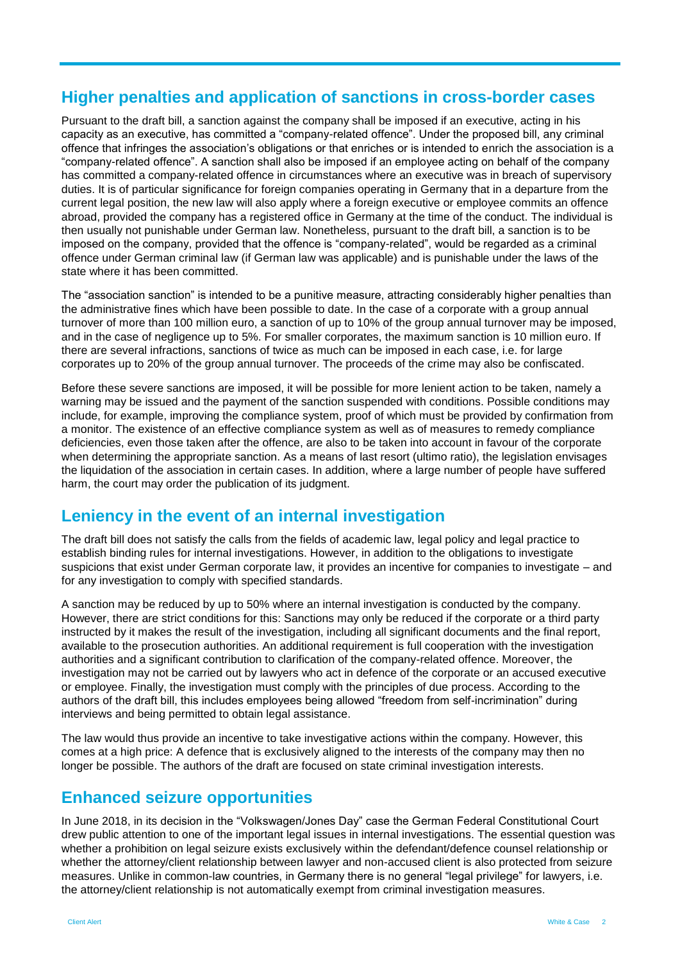### **Higher penalties and application of sanctions in cross-border cases**

Pursuant to the draft bill, a sanction against the company shall be imposed if an executive, acting in his capacity as an executive, has committed a "company-related offence". Under the proposed bill, any criminal offence that infringes the association's obligations or that enriches or is intended to enrich the association is a "company-related offence". A sanction shall also be imposed if an employee acting on behalf of the company has committed a company-related offence in circumstances where an executive was in breach of supervisory duties. It is of particular significance for foreign companies operating in Germany that in a departure from the current legal position, the new law will also apply where a foreign executive or employee commits an offence abroad, provided the company has a registered office in Germany at the time of the conduct. The individual is then usually not punishable under German law. Nonetheless, pursuant to the draft bill, a sanction is to be imposed on the company, provided that the offence is "company-related", would be regarded as a criminal offence under German criminal law (if German law was applicable) and is punishable under the laws of the state where it has been committed.

The "association sanction" is intended to be a punitive measure, attracting considerably higher penalties than the administrative fines which have been possible to date. In the case of a corporate with a group annual turnover of more than 100 million euro, a sanction of up to 10% of the group annual turnover may be imposed, and in the case of negligence up to 5%. For smaller corporates, the maximum sanction is 10 million euro. If there are several infractions, sanctions of twice as much can be imposed in each case, i.e. for large corporates up to 20% of the group annual turnover. The proceeds of the crime may also be confiscated.

Before these severe sanctions are imposed, it will be possible for more lenient action to be taken, namely a warning may be issued and the payment of the sanction suspended with conditions. Possible conditions may include, for example, improving the compliance system, proof of which must be provided by confirmation from a monitor. The existence of an effective compliance system as well as of measures to remedy compliance deficiencies, even those taken after the offence, are also to be taken into account in favour of the corporate when determining the appropriate sanction. As a means of last resort (ultimo ratio), the legislation envisages the liquidation of the association in certain cases. In addition, where a large number of people have suffered harm, the court may order the publication of its judgment.

### **Leniency in the event of an internal investigation**

The draft bill does not satisfy the calls from the fields of academic law, legal policy and legal practice to establish binding rules for internal investigations. However, in addition to the obligations to investigate suspicions that exist under German corporate law, it provides an incentive for companies to investigate – and for any investigation to comply with specified standards.

A sanction may be reduced by up to 50% where an internal investigation is conducted by the company. However, there are strict conditions for this: Sanctions may only be reduced if the corporate or a third party instructed by it makes the result of the investigation, including all significant documents and the final report, available to the prosecution authorities. An additional requirement is full cooperation with the investigation authorities and a significant contribution to clarification of the company-related offence. Moreover, the investigation may not be carried out by lawyers who act in defence of the corporate or an accused executive or employee. Finally, the investigation must comply with the principles of due process. According to the authors of the draft bill, this includes employees being allowed "freedom from self-incrimination" during interviews and being permitted to obtain legal assistance.

The law would thus provide an incentive to take investigative actions within the company. However, this comes at a high price: A defence that is exclusively aligned to the interests of the company may then no longer be possible. The authors of the draft are focused on state criminal investigation interests.

#### **Enhanced seizure opportunities**

In June 2018, in its decision in the "Volkswagen/Jones Day" case the German Federal Constitutional Court drew public attention to one of the important legal issues in internal investigations. The essential question was whether a prohibition on legal seizure exists exclusively within the defendant/defence counsel relationship or whether the attorney/client relationship between lawyer and non-accused client is also protected from seizure measures. Unlike in common-law countries, in Germany there is no general "legal privilege" for lawyers, i.e. the attorney/client relationship is not automatically exempt from criminal investigation measures.